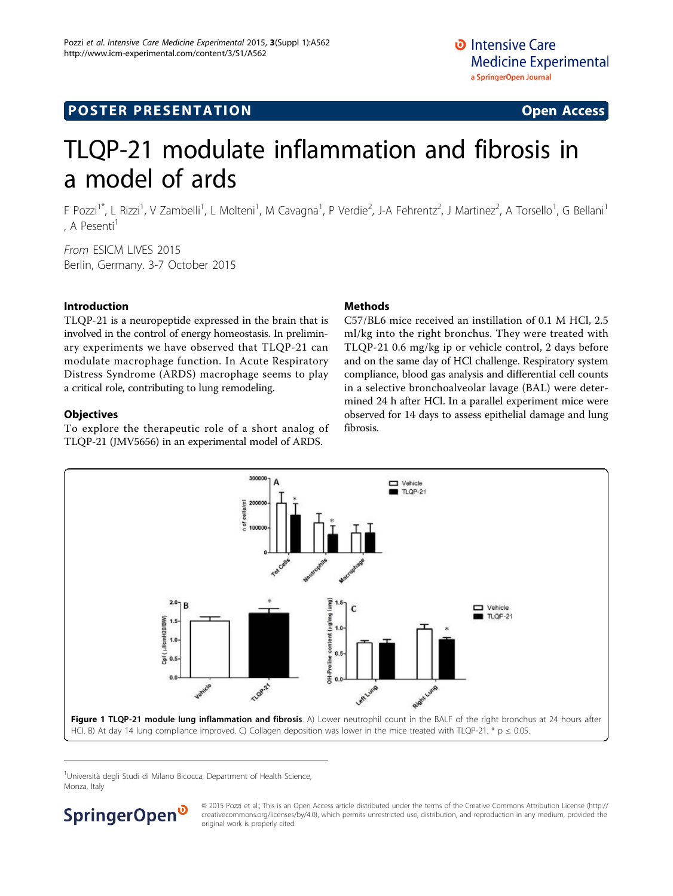## <span id="page-0-0"></span>**POSTER PRESENTATION CONSUMING ACCESS**

# TLQP-21 modulate inflammation and fibrosis in a model of ards

F Pozzi<sup>1\*</sup>, L Rizzi<sup>1</sup>, V Zambelli<sup>1</sup>, L Molteni<sup>1</sup>, M Cavagna<sup>1</sup>, P Verdie<sup>2</sup>, J-A Fehrentz<sup>2</sup>, J Martinez<sup>2</sup>, A Torsello<sup>1</sup>, G Bellani<sup>1</sup> . A Pesenti<sup>1</sup>

From ESICM LIVES 2015 Berlin, Germany. 3-7 October 2015

#### Introduction

TLQP-21 is a neuropeptide expressed in the brain that is involved in the control of energy homeostasis. In preliminary experiments we have observed that TLQP-21 can modulate macrophage function. In Acute Respiratory Distress Syndrome (ARDS) macrophage seems to play a critical role, contributing to lung remodeling.

#### **Objectives**

To explore the therapeutic role of a short analog of TLQP-21 (JMV5656) in an experimental model of ARDS.

#### Methods

C57/BL6 mice received an instillation of 0.1 M HCl, 2.5 ml/kg into the right bronchus. They were treated with TLQP-21 0.6 mg/kg ip or vehicle control, 2 days before and on the same day of HCl challenge. Respiratory system compliance, blood gas analysis and differential cell counts in a selective bronchoalveolar lavage (BAL) were determined 24 h after HCl. In a parallel experiment mice were observed for 14 days to assess epithelial damage and lung fibrosis.



<sup>1</sup>Università degli Studi di Milano Bicocca, Department of Health Science, Monza, Italy



© 2015 Pozzi et al.; This is an Open Access article distributed under the terms of the Creative Commons Attribution License [\(http://](http://creativecommons.org/licenses/by/4.0) [creativecommons.org/licenses/by/4.0](http://creativecommons.org/licenses/by/4.0)), which permits unrestricted use, distribution, and reproduction in any medium, provided the original work is properly cited.